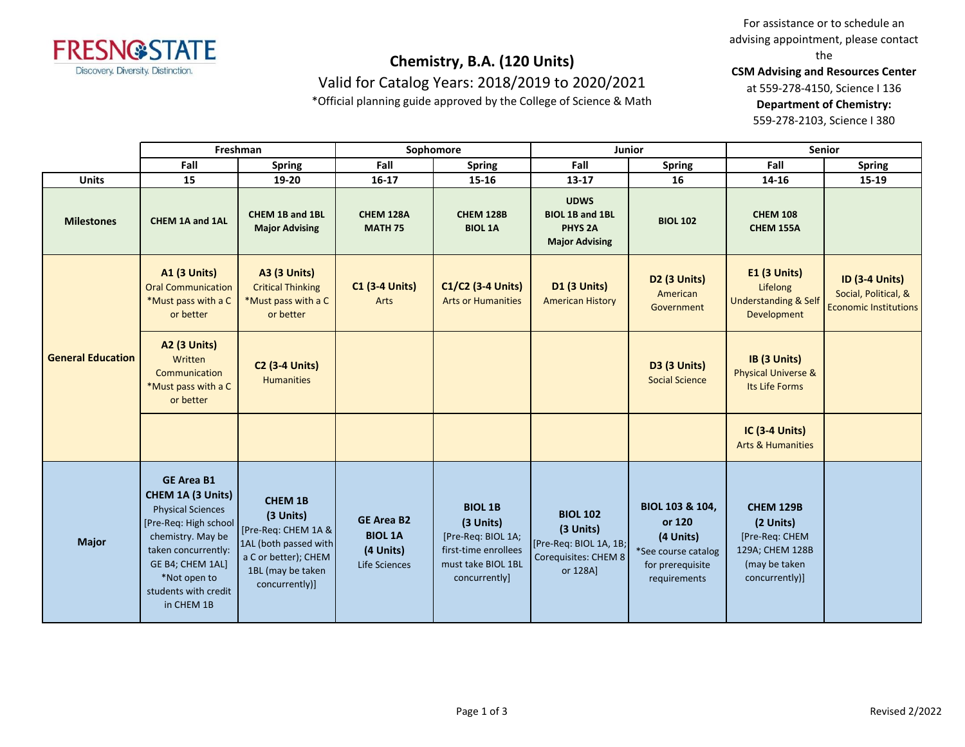

Valid for Catalog Years: 2018/2019 to 2020/2021

\*Official planning guide approved by the College of Science & Math

For assistance or to schedule an advising appointment, please contact the

**CSM Advising and Resources Center**

at 559-278-4150, Science I 136 **Department of Chemistry:**

559-278-2103, Science I 380

|                          | Freshman                                                                                                                                                                                                          |                                                                                                                                            | Sophomore                                                         |                                                                                                                  |                                                                                            | <b>Junior</b>                                                                                     | <b>Senior</b>                                                                                         |                                                                               |
|--------------------------|-------------------------------------------------------------------------------------------------------------------------------------------------------------------------------------------------------------------|--------------------------------------------------------------------------------------------------------------------------------------------|-------------------------------------------------------------------|------------------------------------------------------------------------------------------------------------------|--------------------------------------------------------------------------------------------|---------------------------------------------------------------------------------------------------|-------------------------------------------------------------------------------------------------------|-------------------------------------------------------------------------------|
|                          | Fall                                                                                                                                                                                                              | <b>Spring</b>                                                                                                                              | Fall                                                              | <b>Spring</b>                                                                                                    | Fall                                                                                       | <b>Spring</b>                                                                                     | Fall                                                                                                  | <b>Spring</b>                                                                 |
| <b>Units</b>             | 15                                                                                                                                                                                                                | 19-20                                                                                                                                      | 16-17                                                             | 15-16                                                                                                            | $13 - 17$                                                                                  | 16                                                                                                | 14-16                                                                                                 | 15-19                                                                         |
| <b>Milestones</b>        | CHEM 1A and 1AL                                                                                                                                                                                                   | CHEM 1B and 1BL<br><b>Major Advising</b>                                                                                                   | CHEM 128A<br><b>MATH 75</b>                                       | <b>CHEM 128B</b><br><b>BIOL 1A</b>                                                                               | <b>UDWS</b><br><b>BIOL 1B and 1BL</b><br><b>PHYS 2A</b><br><b>Major Advising</b>           | <b>BIOL 102</b>                                                                                   | <b>CHEM 108</b><br><b>CHEM 155A</b>                                                                   |                                                                               |
| <b>General Education</b> | <b>A1 (3 Units)</b><br><b>Oral Communication</b><br>*Must pass with a C<br>or better                                                                                                                              | <b>A3 (3 Units)</b><br><b>Critical Thinking</b><br>*Must pass with a C<br>or better                                                        | <b>C1 (3-4 Units)</b><br>Arts                                     | C1/C2 (3-4 Units)<br><b>Arts or Humanities</b>                                                                   | <b>D1 (3 Units)</b><br><b>American History</b>                                             | <b>D2 (3 Units)</b><br>American<br>Government                                                     | $E1$ (3 Units)<br>Lifelong<br><b>Understanding &amp; Self</b><br><b>Development</b>                   | <b>ID (3-4 Units)</b><br>Social, Political, &<br><b>Economic Institutions</b> |
|                          | <b>A2 (3 Units)</b><br>Written<br>Communication<br>*Must pass with a C<br>or better                                                                                                                               | <b>C2 (3-4 Units)</b><br><b>Humanities</b>                                                                                                 |                                                                   |                                                                                                                  |                                                                                            | <b>D3 (3 Units)</b><br><b>Social Science</b>                                                      | IB (3 Units)<br><b>Physical Universe &amp;</b><br>Its Life Forms                                      |                                                                               |
|                          |                                                                                                                                                                                                                   |                                                                                                                                            |                                                                   |                                                                                                                  |                                                                                            |                                                                                                   | <b>IC (3-4 Units)</b><br><b>Arts &amp; Humanities</b>                                                 |                                                                               |
| <b>Major</b>             | <b>GE Area B1</b><br>CHEM 1A (3 Units)<br><b>Physical Sciences</b><br>[Pre-Req: High school<br>chemistry. May be<br>taken concurrently:<br>GE B4; CHEM 1AL]<br>*Not open to<br>students with credit<br>in CHEM 1B | <b>CHEM 1B</b><br>(3 Units)<br>[Pre-Req: CHEM 1A &<br>1AL (both passed with<br>a C or better); CHEM<br>1BL (may be taken<br>concurrently)] | <b>GE Area B2</b><br><b>BIOL 1A</b><br>(4 Units)<br>Life Sciences | <b>BIOL 1B</b><br>(3 Units)<br>[Pre-Req: BIOL 1A;<br>first-time enrollees<br>must take BIOL 1BL<br>concurrently] | <b>BIOL 102</b><br>(3 Units)<br>[Pre-Req: BIOL 1A, 1B;<br>Corequisites: CHEM 8<br>or 128A] | BIOL 103 & 104,<br>or 120<br>(4 Units)<br>*See course catalog<br>for prerequisite<br>requirements | <b>CHEM 129B</b><br>(2 Units)<br>[Pre-Req: CHEM<br>129A; CHEM 128B<br>(may be taken<br>concurrently)] |                                                                               |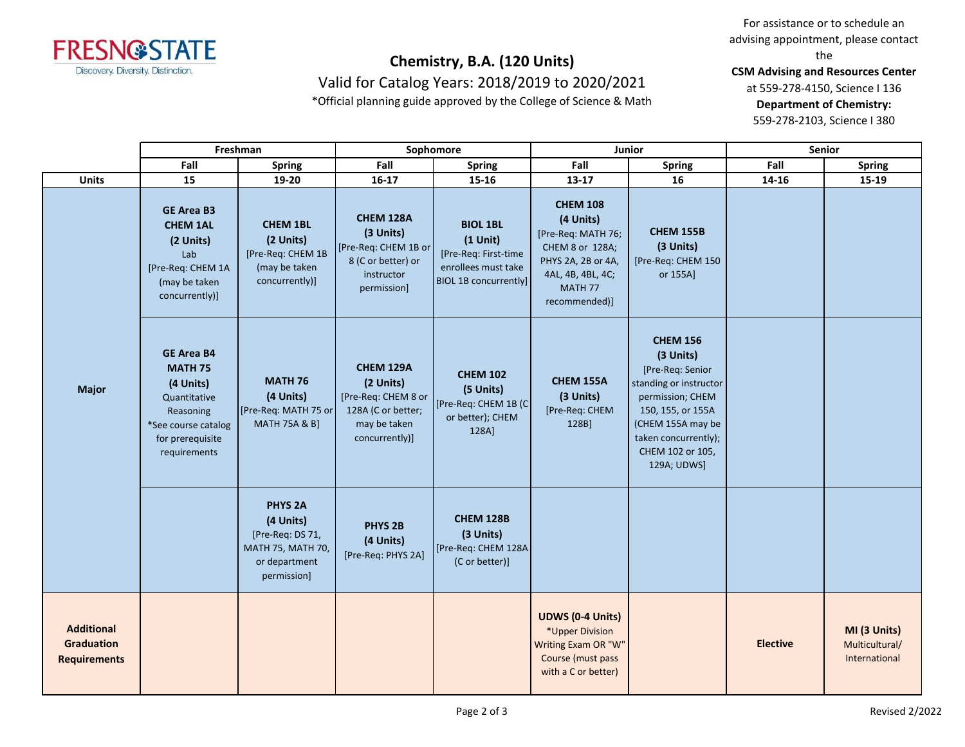

Valid for Catalog Years: 2018/2019 to 2020/2021

\*Official planning guide approved by the College of Science & Math

For assistance or to schedule an advising appointment, please contact the

**CSM Advising and Resources Center**

at 559-278-4150, Science I 136 **Department of Chemistry:** 559-278-2103, Science I 380

**Fall Spring Fall Spring Fall Spring Fall Spring Units 15 19-20 16-17 15-16 13-17 16 14-16 15-19 Freshman Sophomore Junior Senior GE Area B3 CHEM 1AL (2 Units)** Lab [Pre-Req: CHEM 1A (may be taken concurrently)] **CHEM 1BL (2 Units)** [Pre-Req: CHEM 1B (may be taken concurrently)] **CHEM 128A (3 Units)** [Pre-Req: CHEM 1B or 8 (C or better) or instructor permission] **BIOL 1BL (1 Unit)** [Pre-Req: First-time enrollees must take BIOL 1B concurrently] **CHEM 108 (4 Units)** [Pre-Req: MATH 76; CHEM 8 or 128A; PHYS 2A, 2B or 4A, 4AL, 4B, 4BL, 4C; MATH 77 recommended)] **CHEM 155B (3 Units)** [Pre-Req: CHEM 150 or 155A] **GE Area B4 MATH 75 (4 Units)** Quantitative Reasoning \*See course catalog for prerequisite requirements **MATH 76 (4 Units)** [Pre-Req: MATH 75 or MATH 75A & B] **CHEM 129A (2 Units)** [Pre-Req: CHEM 8 or 128A (C or better; may be taken concurrently)] **CHEM 102 (5 Units)** [Pre-Req: CHEM 1B (C or better); CHEM 128A] **CHEM 155A (3 Units)** [Pre-Req: CHEM 128B] **CHEM 156 (3 Units)** [Pre-Req: Senior standing or instructor permission; CHEM 150, 155, or 155A (CHEM 155A may be taken concurrently); CHEM 102 or 105, 129A; UDWS] **PHYS 2A (4 Units)** [Pre-Req: DS 71, MATH 75, MATH 70, or department permission] **PHYS 2B (4 Units)** [Pre-Req: PHYS 2A] **CHEM 128B (3 Units)** [Pre-Req: CHEM 128A (C or better)] **Additional Graduation Requirements UDWS (0-4 Units)** \*Upper Division Writing Exam OR "W" Course (must pass with a C or better) **Elective MI (3 Units)** Multicultural/ International **Major**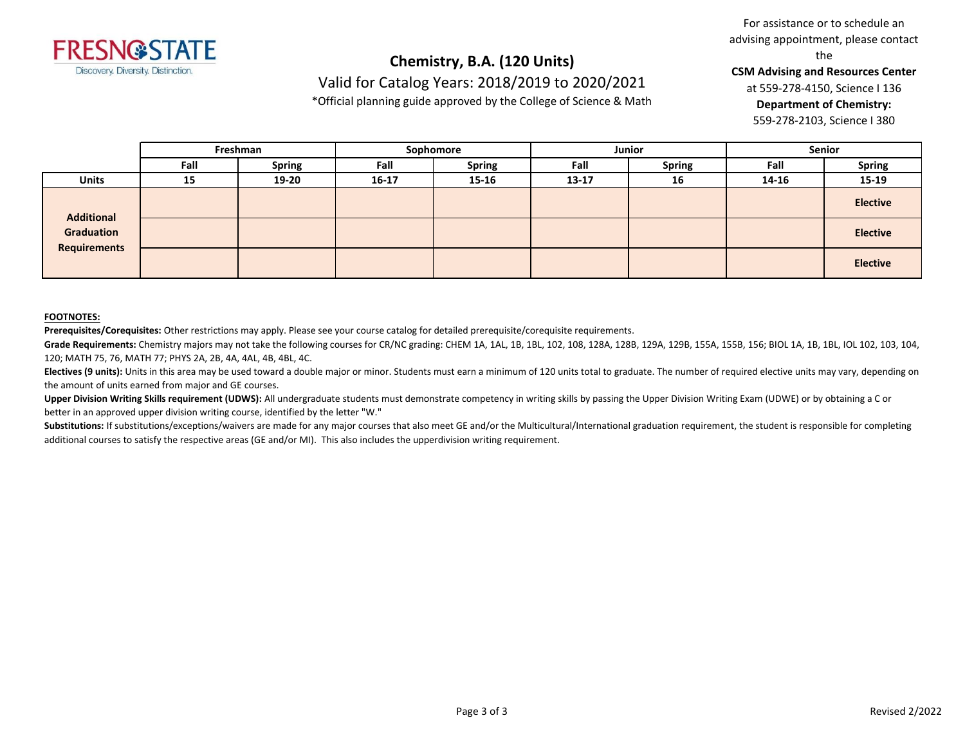

Valid for Catalog Years: 2018/2019 to 2020/2021

\*Official planning guide approved by the College of Science & Math

For assistance or to schedule an advising appointment, please contact the

**CSM Advising and Resources Center**

at 559-278-4150, Science I 136 **Department of Chemistry:**

559-278-2103, Science I 380

|                                                        | Freshman |               | Sophomore |               | Junior    |               | <b>Senior</b> |                 |
|--------------------------------------------------------|----------|---------------|-----------|---------------|-----------|---------------|---------------|-----------------|
|                                                        | Fall     | <b>Spring</b> | Fall      | <b>Spring</b> | Fall      | <b>Spring</b> | Fall          | <b>Spring</b>   |
| <b>Units</b>                                           | 15       | 19-20         | $16 - 17$ | $15 - 16$     | $13 - 17$ | 16            | 14-16         | 15-19           |
| <b>Additional</b><br>Graduation<br><b>Requirements</b> |          |               |           |               |           |               |               | <b>Elective</b> |
|                                                        |          |               |           |               |           |               |               | <b>Elective</b> |
|                                                        |          |               |           |               |           |               |               | <b>Elective</b> |

### **FOOTNOTES:**

**Prerequisites/Corequisites:** Other restrictions may apply. Please see your course catalog for detailed prerequisite/corequisite requirements.

**Grade Requirements:** Chemistry majors may not take the following courses for CR/NC grading: CHEM 1A, 1AL, 1B, 1BL, 102, 108, 128A, 128B, 129A, 129B, 155A, 155B, 156; BIOL 1A, 1B, 1BL, IOL 102, 103, 104, 120; MATH 75, 76, MATH 77; PHYS 2A, 2B, 4A, 4AL, 4B, 4BL, 4C.

Electives (9 units): Units in this area may be used toward a double major or minor. Students must earn a minimum of 120 units total to graduate. The number of required elective units may vary, depending on the amount of units earned from major and GE courses.

**Upper Division Writing Skills requirement (UDWS):** All undergraduate students must demonstrate competency in writing skills by passing the Upper Division Writing Exam (UDWE) or by obtaining a C or better in an approved upper division writing course, identified by the letter "W."

Substitutions: If substitutions/exceptions/waivers are made for any major courses that also meet GE and/or the Multicultural/International graduation requirement, the student is responsible for completing additional courses to satisfy the respective areas (GE and/or MI). This also includes the upperdivision writing requirement.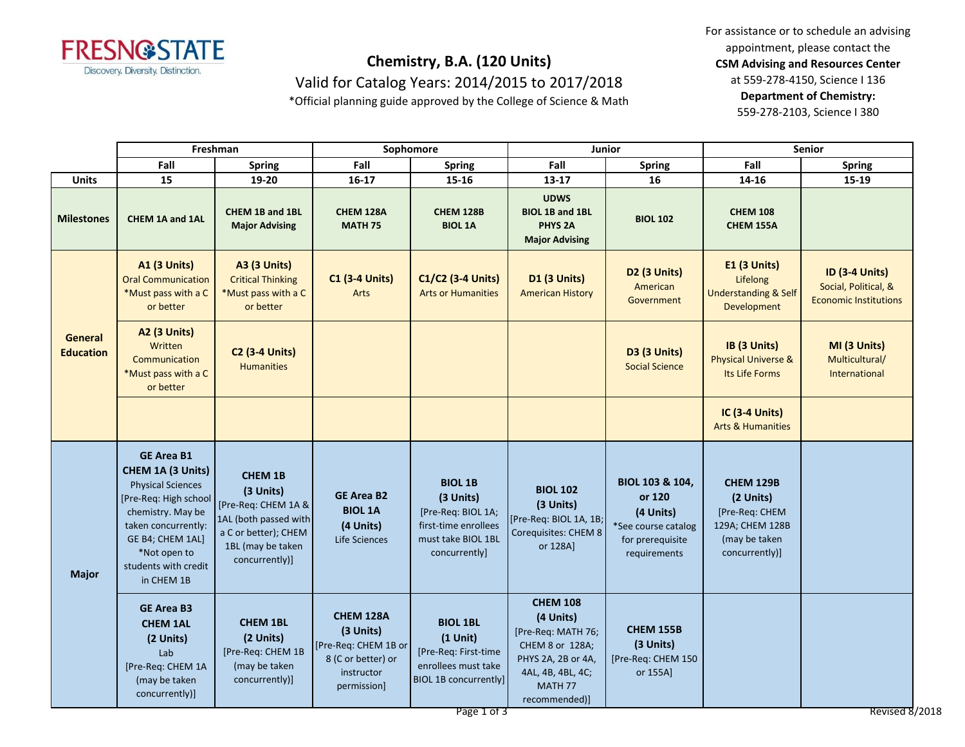

Valid for Catalog Years: 2014/2015 to 2017/2018

\*Official planning guide approved by the College of Science & Math

For assistance or to schedule an advising appointment, please contact the **CSM Advising and Resources Center** at 559-278-4150, Science I 136 **Department of Chemistry:**

559-278-2103, Science I 380

|                                    | Freshman                                                                                                                                                                                                          |                                                                                                                                            | Sophomore                                                                                         |                                                                                                                             | Junior                                                                                                                                       |                                                                                                   | Senior                                                                                                |                                                                               |
|------------------------------------|-------------------------------------------------------------------------------------------------------------------------------------------------------------------------------------------------------------------|--------------------------------------------------------------------------------------------------------------------------------------------|---------------------------------------------------------------------------------------------------|-----------------------------------------------------------------------------------------------------------------------------|----------------------------------------------------------------------------------------------------------------------------------------------|---------------------------------------------------------------------------------------------------|-------------------------------------------------------------------------------------------------------|-------------------------------------------------------------------------------|
|                                    | Fall                                                                                                                                                                                                              | <b>Spring</b>                                                                                                                              | Fall                                                                                              | <b>Spring</b>                                                                                                               | Fall                                                                                                                                         | <b>Spring</b>                                                                                     | Fall                                                                                                  | <b>Spring</b>                                                                 |
| <b>Units</b>                       | 15                                                                                                                                                                                                                | 19-20                                                                                                                                      | $16 - 17$                                                                                         | $15 - 16$                                                                                                                   | 13-17                                                                                                                                        | 16                                                                                                | 14-16                                                                                                 | 15-19                                                                         |
| <b>Milestones</b>                  | <b>CHEM 1A and 1AL</b>                                                                                                                                                                                            | CHEM 1B and 1BL<br><b>Major Advising</b>                                                                                                   | CHEM 128A<br><b>MATH 75</b>                                                                       | <b>CHEM 128B</b><br><b>BIOL 1A</b>                                                                                          | <b>UDWS</b><br><b>BIOL 1B and 1BL</b><br><b>PHYS 2A</b><br><b>Major Advising</b>                                                             | <b>BIOL 102</b>                                                                                   | <b>CHEM 108</b><br>CHEM 155A                                                                          |                                                                               |
| <b>General</b><br><b>Education</b> | <b>A1 (3 Units)</b><br><b>Oral Communication</b><br>*Must pass with a C<br>or better                                                                                                                              | <b>A3 (3 Units)</b><br><b>Critical Thinking</b><br>*Must pass with a C<br>or better                                                        | <b>C1 (3-4 Units)</b><br>Arts                                                                     | C1/C2 (3-4 Units)<br><b>Arts or Humanities</b>                                                                              | <b>D1 (3 Units)</b><br><b>American History</b>                                                                                               | <b>D2 (3 Units)</b><br>American<br>Government                                                     | E1 (3 Units)<br>Lifelong<br><b>Understanding &amp; Self</b><br>Development                            | <b>ID (3-4 Units)</b><br>Social, Political, &<br><b>Economic Institutions</b> |
|                                    | <b>A2 (3 Units)</b><br><b>Written</b><br>Communication<br>*Must pass with a C<br>or better                                                                                                                        | <b>C2 (3-4 Units)</b><br><b>Humanities</b>                                                                                                 |                                                                                                   |                                                                                                                             |                                                                                                                                              | <b>D3 (3 Units)</b><br><b>Social Science</b>                                                      | IB (3 Units)<br><b>Physical Universe &amp;</b><br>Its Life Forms                                      | MI (3 Units)<br>Multicultural/<br>International                               |
|                                    |                                                                                                                                                                                                                   |                                                                                                                                            |                                                                                                   |                                                                                                                             |                                                                                                                                              |                                                                                                   | IC (3-4 Units)<br><b>Arts &amp; Humanities</b>                                                        |                                                                               |
| <b>Major</b>                       | <b>GE Area B1</b><br>CHEM 1A (3 Units)<br><b>Physical Sciences</b><br>[Pre-Req: High school<br>chemistry. May be<br>taken concurrently:<br>GE B4; CHEM 1AL]<br>*Not open to<br>students with credit<br>in CHEM 1B | <b>CHEM 1B</b><br>(3 Units)<br>[Pre-Req: CHEM 1A &<br>1AL (both passed with<br>a C or better); CHEM<br>1BL (may be taken<br>concurrently)] | <b>GE Area B2</b><br><b>BIOL 1A</b><br>(4 Units)<br>Life Sciences                                 | <b>BIOL 1B</b><br>(3 Units)<br>[Pre-Req: BIOL 1A;<br>first-time enrollees<br>must take BIOL 1BL<br>concurrently]            | <b>BIOL 102</b><br>(3 Units)<br>[Pre-Req: BIOL 1A, 1B;<br>Corequisites: CHEM 8<br>or 128A]                                                   | BIOL 103 & 104,<br>or 120<br>(4 Units)<br>*See course catalog<br>for prerequisite<br>requirements | <b>CHEM 129B</b><br>(2 Units)<br>[Pre-Reg: CHEM<br>129A; CHEM 128B<br>(may be taken<br>concurrently)] |                                                                               |
|                                    | <b>GE Area B3</b><br><b>CHEM 1AL</b><br>(2 Units)<br>Lab<br>[Pre-Req: CHEM 1A<br>(may be taken<br>concurrently)]                                                                                                  | <b>CHEM 1BL</b><br>(2 Units)<br>[Pre-Req: CHEM 1B<br>(may be taken<br>concurrently)]                                                       | CHEM 128A<br>(3 Units)<br>[Pre-Req: CHEM 1B or<br>8 (C or better) or<br>instructor<br>permission] | <b>BIOL 1BL</b><br>$(1$ Unit)<br>[Pre-Req: First-time<br>enrollees must take<br><b>BIOL 1B concurrently]</b><br>Page 1 of 3 | <b>CHEM 108</b><br>(4 Units)<br>[Pre-Req: MATH 76;<br>CHEM 8 or 128A;<br>PHYS 2A, 2B or 4A,<br>4AL, 4B, 4BL, 4C;<br>MATH 77<br>recommended)] | <b>CHEM 155B</b><br>(3 Units)<br>[Pre-Req: CHEM 150<br>or 155A]                                   |                                                                                                       | Revised 8/2018                                                                |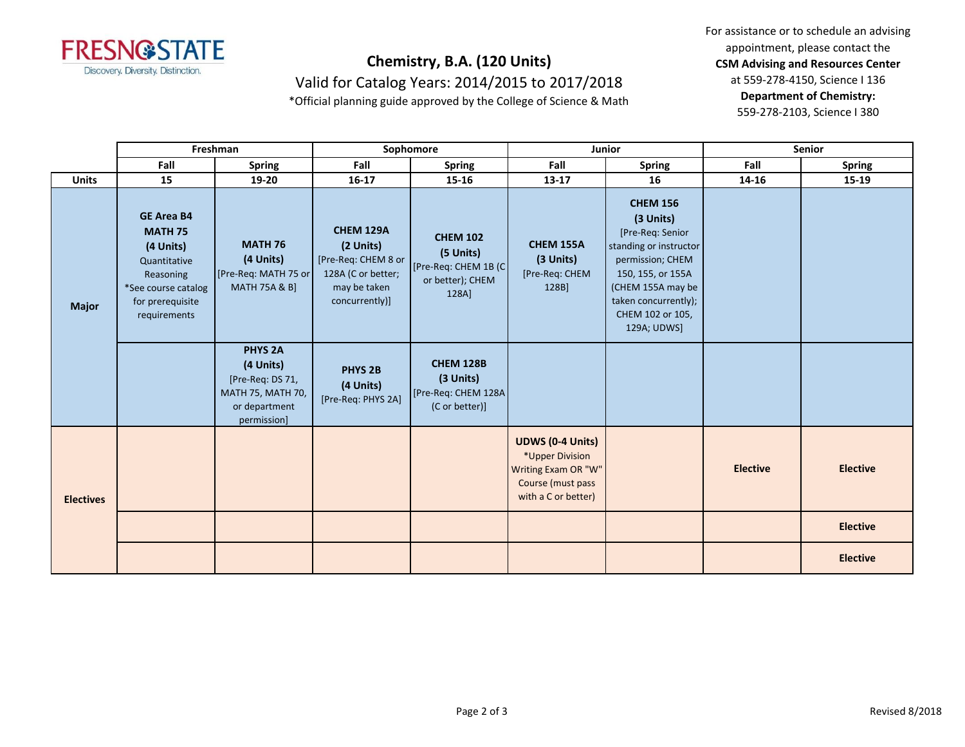

Valid for Catalog Years: 2014/2015 to 2017/2018

\*Official planning guide approved by the College of Science & Math

For assistance or to schedule an advising appointment, please contact the **CSM Advising and Resources Center** at 559-278-4150, Science I 136 **Department of Chemistry:**

559-278-2103, Science I 380

|                  | Freshman                                                                                                                                 |                                                                                                      | Sophomore                                                                                                    |                                                                                   | Junior                                                                                                        |                                                                                                                                                                                                     | <b>Senior</b>   |                 |
|------------------|------------------------------------------------------------------------------------------------------------------------------------------|------------------------------------------------------------------------------------------------------|--------------------------------------------------------------------------------------------------------------|-----------------------------------------------------------------------------------|---------------------------------------------------------------------------------------------------------------|-----------------------------------------------------------------------------------------------------------------------------------------------------------------------------------------------------|-----------------|-----------------|
|                  | Fall                                                                                                                                     | <b>Spring</b>                                                                                        | Fall                                                                                                         | <b>Spring</b>                                                                     | Fall                                                                                                          | <b>Spring</b>                                                                                                                                                                                       | Fall            | <b>Spring</b>   |
| <b>Units</b>     | 15                                                                                                                                       | 19-20                                                                                                | $16 - 17$                                                                                                    | 15-16                                                                             | $13 - 17$                                                                                                     | 16                                                                                                                                                                                                  | 14-16           | 15-19           |
| <b>Major</b>     | <b>GE Area B4</b><br><b>MATH 75</b><br>(4 Units)<br>Quantitative<br>Reasoning<br>*See course catalog<br>for prerequisite<br>requirements | <b>MATH 76</b><br>(4 Units)<br>[Pre-Req: MATH 75 or<br><b>MATH 75A &amp; B]</b>                      | <b>CHEM 129A</b><br>(2 Units)<br>[Pre-Req: CHEM 8 or<br>128A (C or better;<br>may be taken<br>concurrently)] | <b>CHEM 102</b><br>(5 Units)<br>[Pre-Req: CHEM 1B (C<br>or better); CHEM<br>128A] | <b>CHEM 155A</b><br>(3 Units)<br>[Pre-Req: CHEM<br>128B]                                                      | <b>CHEM 156</b><br>(3 Units)<br>[Pre-Req: Senior<br>standing or instructor<br>permission; CHEM<br>150, 155, or 155A<br>(CHEM 155A may be<br>taken concurrently);<br>CHEM 102 or 105,<br>129A; UDWS] |                 |                 |
|                  |                                                                                                                                          | <b>PHYS 2A</b><br>(4 Units)<br>[Pre-Req: DS 71,<br>MATH 75, MATH 70,<br>or department<br>permission] | <b>PHYS 2B</b><br>(4 Units)<br>[Pre-Req: PHYS 2A]                                                            | <b>CHEM 128B</b><br>(3 Units)<br>[Pre-Req: CHEM 128A]<br>(C or better)]           |                                                                                                               |                                                                                                                                                                                                     |                 |                 |
| <b>Electives</b> |                                                                                                                                          |                                                                                                      |                                                                                                              |                                                                                   | <b>UDWS (0-4 Units)</b><br>*Upper Division<br>Writing Exam OR "W"<br>Course (must pass<br>with a C or better) |                                                                                                                                                                                                     | <b>Elective</b> | <b>Elective</b> |
|                  |                                                                                                                                          |                                                                                                      |                                                                                                              |                                                                                   |                                                                                                               |                                                                                                                                                                                                     |                 | <b>Elective</b> |
|                  |                                                                                                                                          |                                                                                                      |                                                                                                              |                                                                                   |                                                                                                               |                                                                                                                                                                                                     |                 | <b>Elective</b> |